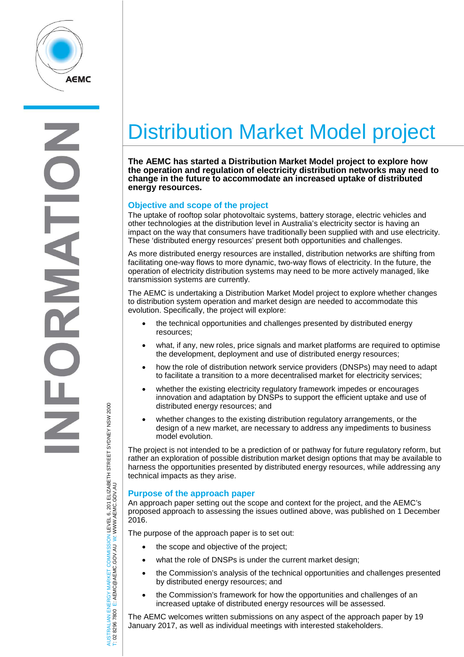

E  $\overline{ }$ 

# Distribution Market Model project

**The AEMC has started a Distribution Market Model project to explore how the operation and regulation of electricity distribution networks may need to change in the future to accommodate an increased uptake of distributed energy resources.**

# **Objective and scope of the project**

The uptake of rooftop solar photovoltaic systems, battery storage, electric vehicles and other technologies at the distribution level in Australia's electricity sector is having an impact on the way that consumers have traditionally been supplied with and use electricity. These 'distributed energy resources' present both opportunities and challenges.

As more distributed energy resources are installed, distribution networks are shifting from facilitating one-way flows to more dynamic, two-way flows of electricity. In the future, the operation of electricity distribution systems may need to be more actively managed, like transmission systems are currently.

The AEMC is undertaking a Distribution Market Model project to explore whether changes to distribution system operation and market design are needed to accommodate this evolution. Specifically, the project will explore:

- the technical opportunities and challenges presented by distributed energy resources;
- what, if any, new roles, price signals and market platforms are required to optimise the development, deployment and use of distributed energy resources;
- how the role of distribution network service providers (DNSPs) may need to adapt to facilitate a transition to a more decentralised market for electricity services;
- whether the existing electricity regulatory framework impedes or encourages innovation and adaptation by DNSPs to support the efficient uptake and use of distributed energy resources; and
- whether changes to the existing distribution regulatory arrangements, or the design of a new market, are necessary to address any impediments to business model evolution.

The project is not intended to be a prediction of or pathway for future regulatory reform, but rather an exploration of possible distribution market design options that may be available to harness the opportunities presented by distributed energy resources, while addressing any technical impacts as they arise.

### **Purpose of the approach paper**

An approach paper setting out the scope and context for the project, and the AEMC's proposed approach to assessing the issues outlined above, was published on 1 December 2016.

The purpose of the approach paper is to set out:

- the scope and objective of the project;
- what the role of DNSPs is under the current market design;
- the Commission's analysis of the technical opportunities and challenges presented by distributed energy resources; and
- the Commission's framework for how the opportunities and challenges of an increased uptake of distributed energy resources will be assessed.

The AEMC welcomes written submissions on any aspect of the approach paper by 19 January 2017, as well as individual meetings with interested stakeholders.

AUSTRALIAN ENERGY MARKET COMMISSION LEVEL 6, 201 ELIZABETH STREET SYDNEY NSW 2000 AUSTRALIAN ENERGY MARKET COMMISSION LEVEL 6, 201 ELIZABETH STREET SYDNEY NSW 2000<br>T: 02 8296 7800 E: AEMC@AEMC.GOV.AU W: WWW.AEMC.GOV.AU W: WWW.AEMC.GOV.AU T: 02 8296 7800 E: AEMC@AEMC.GOV.AU